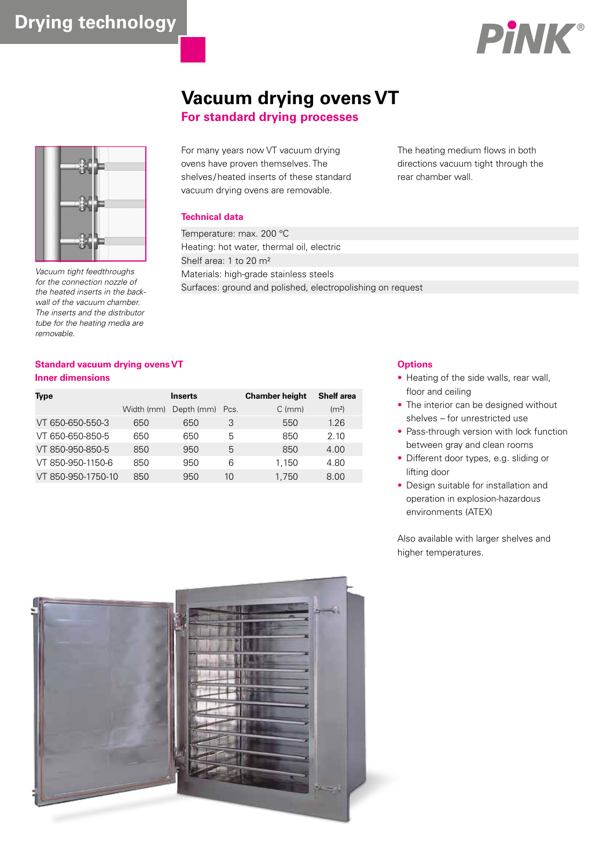

# **Vacuum drying ovens VT**

**For standard drying processes**



Vacuum tight feedthroughs for the connection nozzle of the heated inserts in the backwall of the vacuum chamber. The inserts and the distributor tube for the heating media are removable.

For many years now VT vacuum drying ovens have proven themselves. The shelves /heated inserts of these standard vacuum drying ovens are removable.

### **Technical data**

Temperature: max. 200 °C Heating: hot water, thermal oil, electric Shelf area: 1 to 20 m² Materials: high-grade stainless steels Surfaces: ground and polished, electropolishing on request

The heating medium flows in both directions vacuum tight through the rear chamber wall.

# **Standard vacuum drying ovens VT Inner dimensions**

| <b>Type</b>        |            | <b>Inserts</b>  |    | <b>Chamber height</b> | Shelf area        |
|--------------------|------------|-----------------|----|-----------------------|-------------------|
|                    | Width (mm) | Depth (mm) Pcs. |    | $C \, (mm)$           | (m <sup>2</sup> ) |
| VT 650-650-550-3   | 650        | 650             | З  | 550                   | 1.26              |
| VT 650-650-850-5   | 650        | 650             | 5  | 850                   | 2.10              |
| VT 850-950-850-5   | 850        | 950             | 5  | 850                   | 4.00              |
| VT 850-950-1150-6  | 850        | 950             | 6  | 1.150                 | 4.80              |
| VT 850-950-1750-10 | 850        | 950             | 10 | 1.750                 | 8.00              |

# **Options**

- Heating of the side walls, rear wall, floor and ceiling
- The interior can be designed without shelves – for unrestricted use
- Pass-through version with lock function between gray and clean rooms
- Different door types, e.g. sliding or lifting door
- Design suitable for installation and operation in explosion-hazardous environments (ATEX)

Also available with larger shelves and higher temperatures.